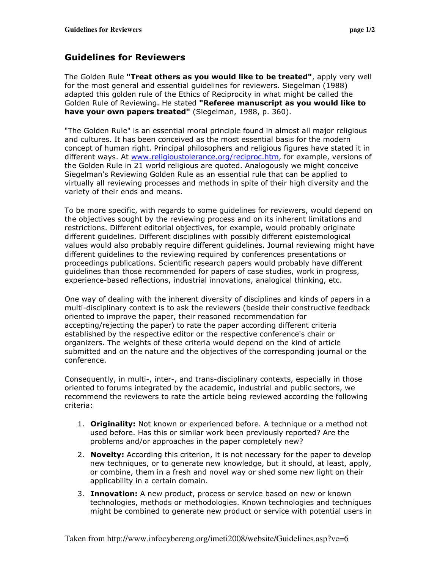## Guidelines for Reviewers

The Golden Rule "Treat others as you would like to be treated", apply very well for the most general and essential guidelines for reviewers. Siegelman (1988) adapted this golden rule of the Ethics of Reciprocity in what might be called the Golden Rule of Reviewing. He stated "Referee manuscript as you would like to have your own papers treated" (Siegelman, 1988, p. 360).

"The Golden Rule" is an essential moral principle found in almost all major religious and cultures. It has been conceived as the most essential basis for the modern concept of human right. Principal philosophers and religious figures have stated it in different ways. At www.religioustolerance.org/reciproc.htm, for example, versions of the Golden Rule in 21 world religious are quoted. Analogously we might conceive Siegelman's Reviewing Golden Rule as an essential rule that can be applied to virtually all reviewing processes and methods in spite of their high diversity and the variety of their ends and means.

To be more specific, with regards to some guidelines for reviewers, would depend on the objectives sought by the reviewing process and on its inherent limitations and restrictions. Different editorial objectives, for example, would probably originate different guidelines. Different disciplines with possibly different epistemological values would also probably require different guidelines. Journal reviewing might have different guidelines to the reviewing required by conferences presentations or proceedings publications. Scientific research papers would probably have different guidelines than those recommended for papers of case studies, work in progress, experience-based reflections, industrial innovations, analogical thinking, etc.

One way of dealing with the inherent diversity of disciplines and kinds of papers in a multi-disciplinary context is to ask the reviewers (beside their constructive feedback oriented to improve the paper, their reasoned recommendation for accepting/rejecting the paper) to rate the paper according different criteria established by the respective editor or the respective conference's chair or organizers. The weights of these criteria would depend on the kind of article submitted and on the nature and the objectives of the corresponding journal or the conference.

Consequently, in multi-, inter-, and trans-disciplinary contexts, especially in those oriented to forums integrated by the academic, industrial and public sectors, we recommend the reviewers to rate the article being reviewed according the following criteria:

- 1. **Originality:** Not known or experienced before. A technique or a method not used before. Has this or similar work been previously reported? Are the problems and/or approaches in the paper completely new?
- 2. Novelty: According this criterion, it is not necessary for the paper to develop new techniques, or to generate new knowledge, but it should, at least, apply, or combine, them in a fresh and novel way or shed some new light on their applicability in a certain domain.
- 3. Innovation: A new product, process or service based on new or known technologies, methods or methodologies. Known technologies and techniques might be combined to generate new product or service with potential users in